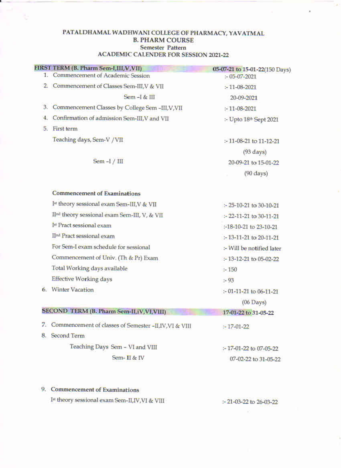#### PATALDHAMAL WADHWANI COLLEGE OF PHARMACY, YAVATMAL **B. PHARM COURSE Semester Pattern ACADEMIC CALENDER FOR SESSION 2021-22**

|    | FIRST TERM (B. Pharm Sem-I, III, V, VII)               | 05-07-21 to 15-01-22(150 Days)     |
|----|--------------------------------------------------------|------------------------------------|
|    | 1. Commencement of Academic Session                    | $-05-07-2021$                      |
|    | 2. Commencement of Classes Sem-III, V & VII            | $-11-08-2021$                      |
|    | $Sem - I & H$                                          | 20-09-2021                         |
| 3. | Commencement Classes by College Sem -III, V, VII       | $: -11 - 08 - 2021$                |
| 4. | Confirmation of admission Sem-III, V and VII           | :- Upto 18th Sept 2021             |
| 5. | First term                                             |                                    |
|    | Teaching days, Sem-V / VII                             | :-11-08-21 to 11-12-21             |
|    |                                                        | $(93 \text{ days})$                |
|    | Sem $-I / III$                                         | 20-09-21 to 15-01-22               |
|    |                                                        | $(90 \text{ days})$                |
|    | <b>Commencement of Examinations</b>                    |                                    |
|    | Ist theory sessional exam Sem-III, V & VII             | $-25-10-21$ to 30-10-21            |
|    | IInd theory sessional exam Sem-III, V, & VII           | $\div$ 22-11-21 to 30-11-21        |
|    | Ist Pract sessional exam                               | :-18-10-21 to 23-10-21             |
|    | IInd Pract sessional exam                              | $-13-11-21$ to 20-11-21            |
|    | For Sem-I exam schedule for sessional                  | :- Will be notified later          |
|    | Commencement of Univ. (Th & Pr) Exam                   | $-13-12-21$ to 05-02-22            |
|    | Total Working days available                           | : 150                              |
|    | <b>Effective Working days</b>                          | $-93$                              |
|    | 6. Winter Vacation                                     | $\div$ 01-11-21 to 06-11-21        |
|    |                                                        | $(06$ Days $)$                     |
|    | SECOND TERM (B. Pharm Sem-II,iV,VI,VIII)               | 17-01-22 to 31-05-22<br><b>KOL</b> |
| 7. | Commencement of classes of Semester -II, IV, VI & VIII | $-17-01-22$                        |
| 8. | <b>Second Term</b>                                     |                                    |
|    | Teaching Days Sem - VI and VIII                        | :-17-01-22 to 07-05-22             |
|    | Sem-II & IV                                            | 07-02-22 to 31-05-22               |
|    |                                                        |                                    |

# 9. Commencement of Examinations

t,

Ist theory sessional exam Sem-II, IV, VI & VIII

 $\approx$  21-03-22 to 26-03-22  $\mathbf{R}^{\prime}$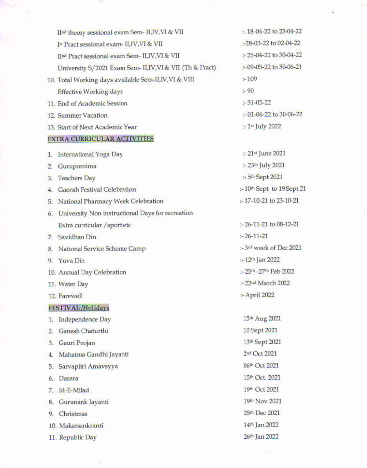| IInd theory sessional exam Sem- II, IV, VI & VII          | $: 18-04-22$ to $23-04-22$            |
|-----------------------------------------------------------|---------------------------------------|
| Ist Pract sessional exam- II, IV, VI & VII                | :-28-03-22 to 02-04-22                |
| IInd Pract sessional exam Sem- II, IV, VI & VII           | :- 25-04-22 to 30-04-22               |
| University S/2021 Exam Sem- II, IV, VI & VII (Th & Pract) | $: 09 - 05 - 22$ to 30-06-21          |
| 10. Total Working days available Sem-II, IV, VI & VIII    | : 109                                 |
| <b>Effective Working days</b>                             | : 90                                  |
| 11. End of Academic Session                               | $: 31 - 05 - 22$                      |
| 12. Summer Vacation                                       | $: 01 - 06 - 22$ to 30-06-22          |
| 13. Start of Next Academic Year                           | $-1$ <sup>st</sup> July 2022          |
| <b>EXTRA CURRICULAR ACTIVITIES</b>                        |                                       |
| International Yoga Day<br>1.                              | :- 21st June 2021                     |
| Gurupomima<br>2.                                          | :- 23th July 2021                     |
| <b>Teachers Day</b><br>3.                                 | :- 5th Sept 2021                      |
| <b>Gaensh Festival Celebration</b><br>4.                  | :-10 <sup>th</sup> Sept to 19 Sept 21 |
| 5. National Pharmacy Week Celebration                     | :-17-10-21 to 23-10-21                |
| University Non instructional Days for recreation<br>6.    |                                       |
| Extra curricular / sportetc                               | $-26-11-21$ to 08-12-21               |
| 7. Savidhan Din                                           | $-26-11-21$                           |
| National Service Scheme Camp<br>8.                        | :-3rd week of Dec 2021                |
| 9. Yuva Din                                               | $: -12th$ Jan 2022                    |
| 10. Annual Day Celebration                                | :- 25th - 27th Feb 2022               |
| 11. Water Day                                             | :- 22nd March 2022                    |
| 12. Farewell                                              | :- April 2022                         |
| <b>FESTIVAL/Holidays</b>                                  |                                       |
| Independence Day<br>1.                                    | 15th Aug 2021                         |
| Ganesh Chaturthi<br>2.                                    | 10 Sept 2021                          |
| Gauri Poojan<br>З.                                        | 13th Sept 2021                        |
| Mahatma Gandhi Jayanti<br>4.                              | 2nd Oct 2021                          |
| Sarvapitri Amavsyya<br>5.                                 | 06th Oct 2021                         |
| Dasara<br>6.                                              | 15th Oct. 2021                        |
| Id-E-Milad<br>7. .                                        | 19th Oct 2021                         |
| 8. Gurunank Jayanti                                       | 19th Nov 2021                         |
| 9. Christmas                                              | 25th Dec 2021                         |
| 10. Makarsankranti                                        | 14th Jan.2022                         |
| 11. Republic Day                                          | 26th Jan 2022                         |

 $\sim$ 

¥

 $\frac{1}{\sqrt{2}}\left( \frac{1}{\sqrt{2}}\right) ^{2}=\frac{1}{\sqrt{2}}\left( \frac{1}{\sqrt{2}}\right) ^{2}=\frac{1}{\sqrt{2}}\left( \frac{1}{\sqrt{2}}\right) ^{2}=\frac{1}{\sqrt{2}}\left( \frac{1}{\sqrt{2}}\right) ^{2}=\frac{1}{\sqrt{2}}\left( \frac{1}{\sqrt{2}}\right) ^{2}=\frac{1}{\sqrt{2}}\left( \frac{1}{\sqrt{2}}\right) ^{2}=\frac{1}{\sqrt{2}}\left( \frac{1}{\sqrt{2}}\right) ^{2}=\frac{1}{\sqrt{2}}$ 

м,

 $\lesssim$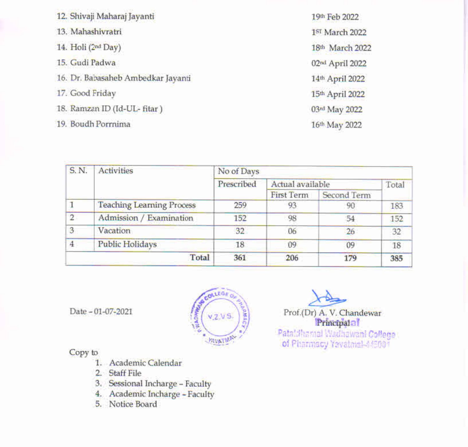| 12. Shivaji Maharaj Jayanti        |
|------------------------------------|
| 13. Mahashivratri                  |
| 14. Holi (2nd Day)                 |
| 15. Gudi Padwa                     |
| 16. Dr. Babasaheb Ambedkar Jayanti |
| 17. Good Friday                    |
| 18. Ramzan ID (Id-UL-fitar)        |
| 19. Boudh Porrnima                 |

19th Feb 2022 1st March 2022 18th March 2022 02nd April 2022 14th April 2022 15th April 2022 03rd May 2022 16th May 2022

| S. N.          | <b>Activities</b>                | No of Days |                   |             |       |
|----------------|----------------------------------|------------|-------------------|-------------|-------|
|                |                                  | Prescribed | Actual available  |             | Total |
|                |                                  |            | <b>First Term</b> | Second Term |       |
|                | <b>Teaching Learning Process</b> | 259        | 93                | -90         | 183   |
| $\overline{2}$ | Admission / Examination          | 152        | 98                | 54          | 152   |
| 3              | Vacation                         | 32         | 06                | 26          | 32    |
| $\overline{4}$ | <b>Public Holidays</b>           | 18         | 09                | 09          | 18    |
|                | Total                            | 361        | 206               | 179         | 385   |

Date - 01-07-2021



Prof.(Dr) A. V. Chandewar Principalal

Pataf flamal Wadhawani College of Pharmacy Yavatmal-445001

#### Copy to

- 1. Academic Calendar
- 2. Staff File
- 3. Sessional Incharge Faculty
- 4. Academic Incharge Faculty
- 5. Notice Board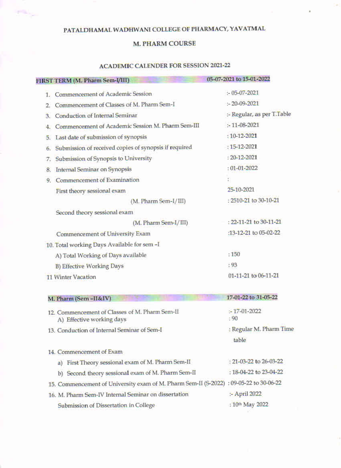# PATALDHAMAL WADHWANI COLLEGE OF PHARMACY, YAVATMAL

erik l

#### **M. PHARM COURSE**

#### **ACADEMIC CALENDER FOR SESSION 2021-22**

|    | FIRST TERM (M. Pharm Sem-I/III)                       | 05-07-2021 to 15-01-2022   |
|----|-------------------------------------------------------|----------------------------|
| 1. | Commencement of Academic Session                      | $-05-07-2021$              |
| 2. | Commencement of Classes of M. Pharm Sem-I             | $-20-09-2021$              |
| 3. | Conduction of Internal Seminar                        | :- Regular, as per T.Table |
| 4. | Commencement of Academic Session M. Pharm Sem-III     | $: -11 - 08 - 2021$        |
| 5. | Last date of submission of synopsis                   | $:10-12-2021$              |
| 6. | Submission of received copies of synopsis if required | $:15-12-2021$              |
| 7. | Submission of Synopsis to University                  | $: 20 - 12 - 2021$         |
| 8. | <b>Internal Seminar on Synopsis</b>                   | $: 01 - 01 - 2022$         |
| 9  | Commencement of Examination                           |                            |
|    | First theory sessional exam                           | 25-10-2021                 |
|    | $(M. Pharm Sem-I/III)$                                | : 2510-21 to 30-10-21      |
|    | Second theory sessional exam                          |                            |
|    | (M. Pharm Sem-I/III)                                  | : 22-11-21 to 30-11-21     |
|    | Commencement of University Exam                       | :13-12-21 to 05-02-22      |
|    | 10. Total working Days Available for sem -I           |                            |
|    | A) Total Working of Days available                    | :150                       |
|    | <b>B) Effective Working Days</b>                      | : 93                       |
|    | 11 Winter Vacation                                    | 01-11-21 to 06-11-21       |

#### 17-01-22 to 31-05-22 M. Pharm (Sem-II&IV) 12. Commencement of Classes of M. Pharm Sem-II  $-17-01-2022$  $: 90$ A) Effective working days : Regular M. Pharm Time 13. Conduction of Internal Seminar of Sem-I table 14. Commencement of Exam : 21-03-22 to 26-03-22 a) First Theory sessional exam of M. Pharm Sem-II : 18-04-22 to 23-04-22 b) Second theory sessional exam of M. Pharm Sem-II 15. Commencement of University exam of M. Pharm Sem-II (S-2022) : 09-05-22 to 30-06-22 16. M. Pharm Sem-IV Internal Seminar on dissertation :- April 2022 : 10th May 2022 Submission of Dissertation in College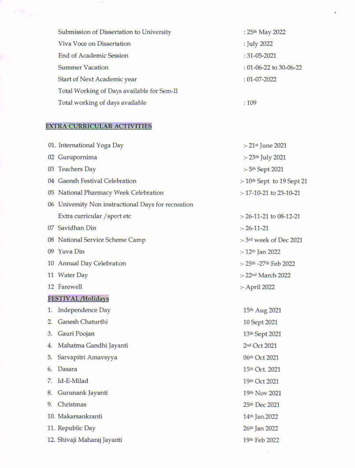| Submission of Dissertation to University   | : 25th May 2022        |
|--------------------------------------------|------------------------|
| Viva Voce on Dissertation                  | : July 2022            |
| <b>End of Academic Session</b>             | $:31-05-2021$          |
| <b>Summer Vacation</b>                     | : 01-06-22 to 30-06-22 |
| Start of Next Academic year                | $:01-07-2022$          |
| Total Working of Days available for Sem-II |                        |
| Total working of days available            | :109                   |

ä

# **EXTRA CURRICULAR ACTIVITIES**

|                  | 01. International Yoga Day                          | :- 21st June 2021                      |
|------------------|-----------------------------------------------------|----------------------------------------|
|                  | 02 Gurupornima                                      | :- 23th July 2021                      |
|                  | 03 Teachers Day                                     | :- 5 <sup>th</sup> Sept 2021           |
|                  | 04 Gaensh Festival Celebration                      | :- 10 <sup>th</sup> Sept to 19 Sept 21 |
|                  | 05 National Pharmacy Week Celebration               | $: 17 - 10 - 21$ to 23-10-21           |
|                  | 06 University Non instructional Days for recreation |                                        |
|                  | Extra curricular / sport etc                        | $-26-11-21$ to 08-12-21                |
|                  | 07 Savidhan Din                                     | $-26-11-21$                            |
|                  | 08 National Service Scheme Camp                     | :- 3rd week of Dec 2021                |
|                  | 09 Yuva Din                                         | :- 12th Jan 2022                       |
|                  | 10 Annual Day Celebration                           | :- 25th -27th Feb 2022                 |
|                  | 11 Water Day                                        | :- 22nd March 2022                     |
|                  | 12 Farewell                                         | :- April 2022                          |
|                  | <b>FESTIVAL/Holidays</b>                            |                                        |
| 1.               | Independence Day                                    | 15th Aug 2021                          |
| $\overline{2}$ . | Ganesh Chaturthi                                    | 10 Sept 2021                           |
| 3.               | Gauri Poojan                                        | 13th Sept 2021                         |
| 4.               | Mahatma Gandhi Jayanti                              | 2nd Oct 2021                           |
| 5.               | Sarvapitri Amavsyya                                 | 06th Oct 2021                          |
| 6.               | Dasara                                              | 15th Oct. 2021                         |
| 7.               | Id-E-Milad                                          | 19th Oct 2021                          |
| 8.               | Gurunank Jayanti                                    | 19th Nov 2021                          |
| 9.               | Christmas                                           | 25th Dec 2021                          |
|                  | 10. Makarsankranti                                  | 14th Jan.2022                          |
|                  | 11. Republic Day                                    | 26th Jan 2022                          |
|                  | 12. Shivaji Maharaj Jayanti                         | 19th Feb 2022                          |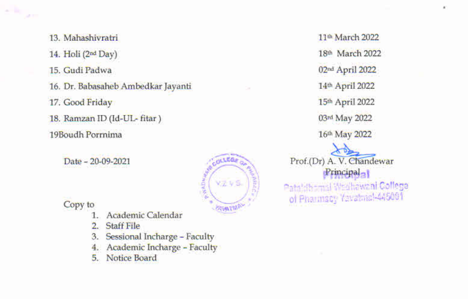13. Mahashivratri 14. Holi (2nd Day) 15. Gudi Padwa 16. Dr. Babasaheb Ambedkar Jayanti 17. Good Friday 18. Ramzan ID (Id-UL-fitar) 19Boudh Porrnima

Date - 20-09-2021



Copy to

**Secretary** 

a co

- Academic Calendar
- $\overline{2}$ . **Staff File**
- $3.$ Sessional Incharge - Faculty
- Academic Incharge Faculty 4.
- Notice Board 5.

11<sup>th</sup> March 2022 18th March 2022 02nd April 2022 14th April 2022 15th April 2022 03rd May 2022 16th May 2022

Prof.(Dr) A. V. Chandewar Principal<sub>al</sub> Patrich and Wedhawani College of Pharmscr Yavathic 445001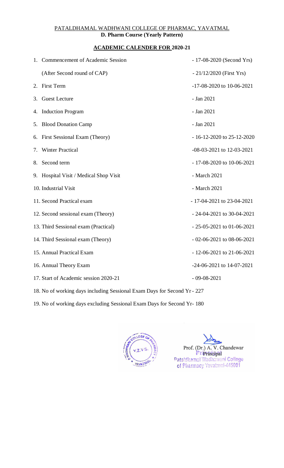# PATALDHAMAL WADHWANI COLLEGE OF PHARMAC, YAVATMAL **D. Pharm Course (Yearly Pattern)**

#### **ACADEMIC CALENDER FOR 2020-21**

|    | 1. Commencement of Academic Session                                      | $-17-08-2020$ (Second Yrs)      |
|----|--------------------------------------------------------------------------|---------------------------------|
|    | (After Second round of CAP)                                              | $-21/12/2020$ (First Yrs)       |
| 2. | First Term                                                               | -17-08-2020 to 10-06-2021       |
| 3. | <b>Guest Lecture</b>                                                     | - Jan 2021                      |
| 4. | <b>Induction Program</b>                                                 | - Jan 2021                      |
| 5. | <b>Blood Donation Camp</b>                                               | - Jan 2021                      |
|    | 6. First Sessional Exam (Theory)                                         | $-16-12-2020$ to 25-12-2020     |
| 7. | <b>Winter Practical</b>                                                  | -08-03-2021 to 12-03-2021       |
| 8. | Second term                                                              | $-17-08-2020$ to 10-06-2021     |
|    | 9. Hospital Visit / Medical Shop Visit                                   | - March 2021                    |
|    | 10. Industrial Visit                                                     | - March 2021                    |
|    | 11. Second Practical exam                                                | $-17-04-2021$ to 23-04-2021     |
|    | 12. Second sessional exam (Theory)                                       | $-24-04-2021$ to 30-04-2021     |
|    | 13. Third Sessional exam (Practical)                                     | $-25-05-2021$ to 01-06-2021     |
|    | 14. Third Sessional exam (Theory)                                        | $-02-06-2021$ to 08-06-2021     |
|    | 15. Annual Practical Exam                                                | $-12-06-2021$ to 21-06-2021     |
|    | 16. Annual Theory Exam                                                   | $-24 - 06 - 2021$ to 14-07-2021 |
|    | 17. Start of Academic session 2020-21                                    | $-09 - 08 - 2021$               |
|    | 18. No of working days including Sessional Exam Days for Second Yr - 227 |                                 |

19. No of working days excluding Sessional Exam Days for Second Yr- 180



Prof.(Dr) A. V. Chandewar Prienabaal<br>Pataldhamal Wadhawani College<br>Intermacy Yavatmal-445001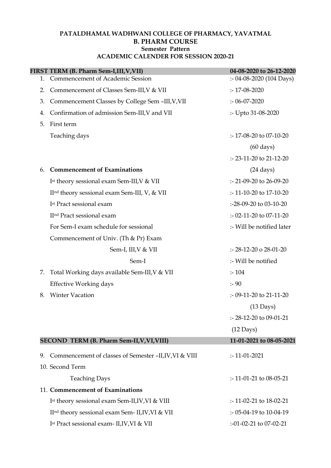#### PATALDHAMAL WADHWANI COLLEGE OF PHARMACY, YAVATMAL B. PHARM COURSE Semester Pattern ACADEMIC CALENDER FOR SESSION 2020-21

|    | FIRST TERM (B. Pharm Sem-LIII, V, VII)                       | 04-08-2020 to 26-12-2020       |
|----|--------------------------------------------------------------|--------------------------------|
| 1. | <b>Commencement of Academic Session</b>                      | $: -04 - 08 - 2020$ (104 Days) |
| 2. | Commencement of Classes Sem-III, V & VII                     | $: 17 - 08 - 2020$             |
| 3. | Commencement Classes by College Sem-III, V, VII              | $: 06 - 07 - 2020$             |
| 4. | Confirmation of admission Sem-III, V and VII                 | :- Upto 31-08-2020             |
| 5. | First term                                                   |                                |
|    | Teaching days                                                | $: 17-08-20$ to 07-10-20       |
|    |                                                              | $(60 \text{ days})$            |
|    |                                                              | $: 23 - 11 - 20$ to 21-12-20   |
| 6. | <b>Commencement of Examinations</b>                          | $(24 \text{ days})$            |
|    | Ist theory sessional exam Sem-III, V & VII                   | $: 21-09-20$ to 26-09-20       |
|    | II <sup>nd</sup> theory sessional exam Sem-III, V, & VII     | $: 11 - 10 - 20$ to 17-10-20   |
|    | I <sup>st</sup> Pract sessional exam                         | :-28-09-20 to 03-10-20         |
|    | II <sup>nd</sup> Pract sessional exam                        | :- 02-11-20 to 07-11-20        |
|    | For Sem-I exam schedule for sessional                        | :- Will be notified later      |
|    | Commencement of Univ. (Th & Pr) Exam                         |                                |
|    | Sem-I, III, V & VII                                          | $: 28-12-20$ o 28-01-20        |
|    | Sem-I                                                        | :- Will be notified            |
| 7. | Total Working days available Sem-III, V & VII                | : 104                          |
|    | <b>Effective Working days</b>                                | : 90                           |
| 8. | <b>Winter Vacation</b>                                       | :- 09-11-20 to 21-11-20        |
|    |                                                              | $(13 \text{ Days})$            |
|    |                                                              | :- 28-12-20 to 09-01-21        |
|    |                                                              | $(12 \text{ Days})$            |
|    | SECOND TERM (B. Pharm Sem-II, V, VI, VIII)                   | 11-01-2021 to 08-05-2021       |
| 9. | Commencement of classes of Semester -II, IV, VI & VIII       | $: -11 - 01 - 2021$            |
|    | 10. Second Term                                              |                                |
|    | <b>Teaching Days</b>                                         | $: 11-01-21$ to 08-05-21       |
|    | 11. Commencement of Examinations                             |                                |
|    | Ist theory sessional exam Sem-II, IV, VI & VIII              | $: -11 - 02 - 21$ to 18-02-21  |
|    | II <sup>nd</sup> theory sessional exam Sem- II, IV, VI & VII | :- 05-04-19 to 10-04-19        |
|    |                                                              |                                |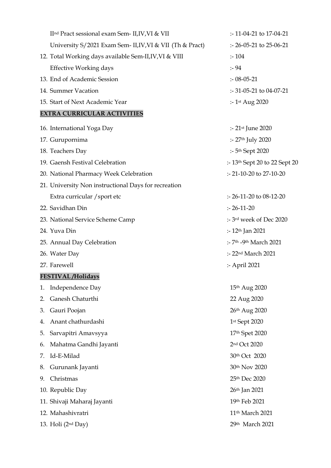| II <sup>nd</sup> Pract sessional exam Sem- II, IV, VI & VII | :-11-04-21 to 17-04-21                              |
|-------------------------------------------------------------|-----------------------------------------------------|
| University S/2021 Exam Sem- II, IV, VI & VII (Th & Pract)   | $: -26 - 05 - 21$ to 25-06-21                       |
| 12. Total Working days available Sem-II, IV, VI & VIII      | $: -104$                                            |
| <b>Effective Working days</b>                               | : 94                                                |
| 13. End of Academic Session                                 | $: 08 - 05 - 21$                                    |
| 14. Summer Vacation                                         | $: -31 - 05 - 21$ to 04-07-21                       |
| 15. Start of Next Academic Year                             | :- $1$ <sup>st</sup> Aug 2020                       |
| <b>EXTRA CURRICULAR ACTIVITIES</b>                          |                                                     |
| 16. International Yoga Day                                  | :- 21 <sup>st</sup> June 2020                       |
| 17. Gurupornima                                             | :- 27th July 2020                                   |
| 18. Teachers Day                                            | :- 5 <sup>th</sup> Sept 2020                        |
| 19. Gaensh Festival Celebration                             | $\therefore$ 13 <sup>th</sup> Sept 20 to 22 Sept 20 |
| 20. National Pharmacy Week Celebration                      | :- 21-10-20 to 27-10-20                             |
| 21. University Non instructional Days for recreation        |                                                     |
| Extra curricular / sport etc                                | $: 26-11-20$ to 08-12-20                            |
| 22. Savidhan Din                                            | $: 26 - 11 - 20$                                    |
| 23. National Service Scheme Camp                            | :- 3rd week of Dec 2020                             |
| 24. Yuva Din                                                | :- $12th$ Jan 2021                                  |
| 25. Annual Day Celebration                                  | :- 7th -9th March 2021                              |
| 26. Water Day                                               | :- 22nd March 2021                                  |
| 27. Farewell                                                | :- April 2021                                       |
| <b>FESTIVAL/Holidays</b>                                    |                                                     |
| Independence Day<br>1.                                      | 15th Aug 2020                                       |
| Ganesh Chaturthi<br>2.                                      | 22 Aug 2020                                         |
| Gauri Poojan<br>3.                                          | 26th Aug 2020                                       |
| Anant chathurdashi<br>4.                                    | 1st Sept 2020                                       |
| Sarvapitri Amavsyya<br>5.                                   | 17th Spet 2020                                      |
| Mahatma Gandhi Jayanti<br>6.                                | 2nd Oct 2020                                        |
| Id-E-Milad<br>7.                                            | 30th Oct 2020                                       |
| Gurunank Jayanti<br>8.                                      | 30th Nov 2020                                       |
| Christmas<br>9.                                             | 25th Dec 2020                                       |
| 10. Republic Day                                            | 26 <sup>th</sup> Jan 2021                           |
| 11. Shivaji Maharaj Jayanti                                 | 19th Feb 2021                                       |
| 12. Mahashivratri                                           | 11 <sup>th</sup> March 2021                         |
| 13. Holi (2nd Day)                                          | 29th March 2021                                     |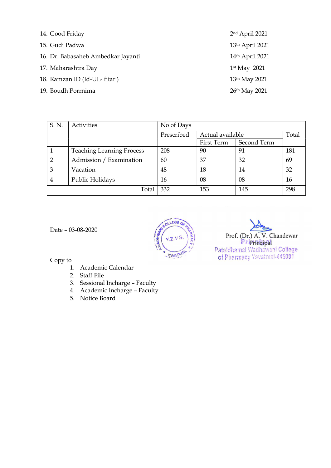| 14. Good Friday                    | 2nd April 2021            |
|------------------------------------|---------------------------|
| 15. Gudi Padwa                     | 13th April 2021           |
| 16. Dr. Babasaheb Ambedkar Jayanti | 14th April 2021           |
| 17. Maharashtra Day                | $1st$ May 2021            |
| 18. Ramzan ID (Id-UL- fitar)       | 13 <sup>th</sup> May 2021 |
| 19. Boudh Porrnima                 | 26th May 2021             |

| S. N.          | Activities                       | No of Days |                  |             |       |
|----------------|----------------------------------|------------|------------------|-------------|-------|
|                |                                  | Prescribed | Actual available |             | Total |
|                |                                  |            | First Term       | Second Term |       |
|                | <b>Teaching Learning Process</b> | 208        | 90               | 91          | 181   |
| $\overline{2}$ | Admission / Examination          | 60         | 37               | 32          | 69    |
| $\overline{3}$ | Vacation                         | 48         | 18               | 14          | 32    |
| $\overline{4}$ | Public Holidays                  | 16         | 08               | 08          | 16    |
|                | Total                            | 332        | 153              | 145         | 298   |



Date – 03-08-2020  $\sqrt{2}$ 

Copy to

- 1. Academic Calendar
- 2. Staff File
- 3. Sessional Incharge Faculty
- 4. Academic Incharge Faculty
- 5. Notice Board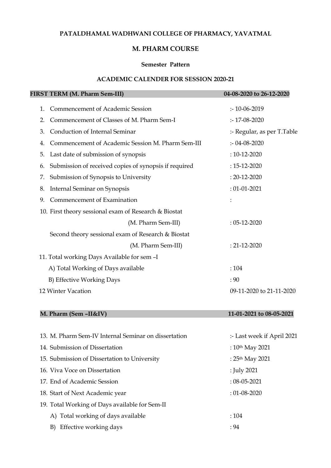### PATALDHAMAL WADHWANI COLLEGE OF PHARMACY, YAVATMAL

# M. PHARM COURSE

#### Semester Pattern

#### ACADEMIC CALENDER FOR SESSION 2020-21

|    | FIRST TERM (M. Pharm Sem-III)                         | 04-08-2020 to 26-12-2020   |
|----|-------------------------------------------------------|----------------------------|
| 1. | Commencement of Academic Session                      | $: 10 - 06 - 2019$         |
| 2. | Commencement of Classes of M. Pharm Sem-I             | $: 17 - 08 - 2020$         |
| 3. | Conduction of Internal Seminar                        | :- Regular, as per T.Table |
| 4. | Commencement of Academic Session M. Pharm Sem-III     | $: 04 - 08 - 2020$         |
| 5. | Last date of submission of synopsis                   | $: 10 - 12 - 2020$         |
| 6. | Submission of received copies of synopsis if required | $: 15 - 12 - 2020$         |
| 7. | Submission of Synopsis to University                  | $: 20 - 12 - 2020$         |
| 8. | Internal Seminar on Synopsis                          | $: 01 - 01 - 2021$         |
| 9. | Commencement of Examination                           |                            |
|    | 10. First theory sessional exam of Research & Biostat |                            |
|    | (M. Pharm Sem-III)                                    | $: 05 - 12 - 2020$         |
|    | Second theory sessional exam of Research & Biostat    |                            |
|    | (M. Pharm Sem-III)                                    | $: 21 - 12 - 2020$         |
|    | 11. Total working Days Available for sem -I           |                            |
|    | A) Total Working of Days available                    | : 104                      |
|    | B) Effective Working Days                             | : 90                       |
|    | 12 Winter Vacation                                    | 09-11-2020 to 21-11-2020   |

# M. Pharm (Sem –II&IV) 11-01-2021 to 08-05-2021

| 13. M. Pharm Sem-IV Internal Seminar on dissertation | :- Last week if April 2021 |  |
|------------------------------------------------------|----------------------------|--|
| 14. Submission of Dissertation                       | : $10^{th}$ May 2021       |  |
| 15. Submission of Dissertation to University         | : $25th$ May 2021          |  |
| 16. Viva Voce on Dissertation                        | : July 2021                |  |
| 17. End of Academic Session                          | $: 08 - 05 - 2021$         |  |
| 18. Start of Next Academic year                      | $: 01 - 08 - 2020$         |  |
| 19. Total Working of Days available for Sem-II       |                            |  |
| A) Total working of days available                   | : 104                      |  |
| Effective working days<br>B)                         | : 94                       |  |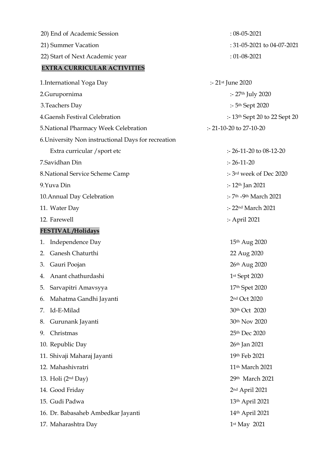| 20) End of Academic Session                         | $: 08 - 05 - 2021$                              |
|-----------------------------------------------------|-------------------------------------------------|
| 21) Summer Vacation                                 | : 31-05-2021 to 04-07-2021                      |
| 22) Start of Next Academic year                     | $: 01 - 08 - 2021$                              |
| <b>EXTRA CURRICULAR ACTIVITIES</b>                  |                                                 |
| 1. International Yoga Day                           | :- $21$ <sup>st</sup> June 2020                 |
| 2.Gurupornima                                       | :- 27th July 2020                               |
| 3. Teachers Day                                     | :- 5 <sup>th</sup> Sept 2020                    |
| 4. Gaensh Festival Celebration                      | :- $13th$ Sept 20 to 22 Sept 20                 |
| 5. National Pharmacy Week Celebration               | :- 21-10-20 to 27-10-20                         |
| 6. University Non instructional Days for recreation |                                                 |
| Extra curricular / sport etc                        | $: 26-11-20$ to 08-12-20                        |
| 7.Savidhan Din                                      | $: 26 - 11 - 20$                                |
| 8. National Service Scheme Camp                     | :- 3rd week of Dec 2020                         |
| 9.Yuva Din                                          | :- $12th$ Jan 2021                              |
| 10. Annual Day Celebration                          | $:$ 7 <sup>th</sup> -9 <sup>th</sup> March 2021 |
| 11. Water Day                                       | :- 22nd March 2021                              |
| 12. Farewell                                        | :- April 2021                                   |
| <b>FESTIVAL/Holidays</b>                            |                                                 |
| Independence Day<br>1.                              | 15th Aug 2020                                   |
| Ganesh Chaturthi<br>2.                              | 22 Aug 2020                                     |
| Gauri Poojan<br>3.                                  | 26th Aug 2020                                   |
| 4. Anant chathurdashi                               | 1st Sept 2020                                   |
| Sarvapitri Amavsyya<br>5.                           | 17th Spet 2020                                  |
| Mahatma Gandhi Jayanti<br>6.                        | 2nd Oct 2020                                    |
| Id-E-Milad<br>7.                                    | 30th Oct 2020                                   |
| Gurunank Jayanti<br>8.                              | 30th Nov 2020                                   |
| Christmas<br>9.                                     | 25th Dec 2020                                   |
| 10. Republic Day                                    | 26 <sup>th</sup> Jan 2021                       |
| 11. Shivaji Maharaj Jayanti                         | 19th Feb 2021                                   |
| 12. Mahashivratri                                   | 11 <sup>th</sup> March 2021                     |
| 13. Holi (2 <sup>nd</sup> Day)                      | 29th March 2021                                 |
| 14. Good Friday                                     | 2 <sup>nd</sup> April 2021                      |
| 15. Gudi Padwa                                      | 13th April 2021                                 |
| 16. Dr. Babasaheb Ambedkar Jayanti                  | 14th April 2021                                 |
| 17. Maharashtra Day                                 | 1st May 2021                                    |
|                                                     |                                                 |